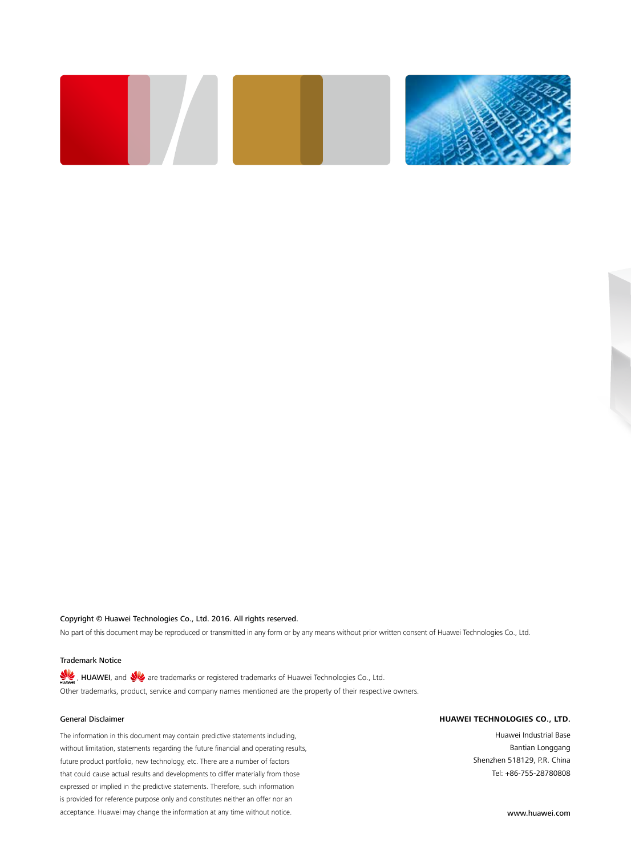

#### Copyright © Huawei Technologies Co., Ltd. 2016. All rights reserved.

No part of this document may be reproduced or transmitted in any form or by any means without prior written consent of Huawei Technologies Co., Ltd.

#### Trademark Notice

HUAWEI, and  $\bigvee$  are trademarks or registered trademarks of Huawei Technologies Co., Ltd. Other trademarks, product, service and company names mentioned are the property of their respective owners.

#### General Disclaimer

The information in this document may contain predictive statements including, without limitation, statements regarding the future financial and operating results, future product portfolio, new technology, etc. There are a number of factors that could cause actual results and developments to differ materially from those expressed or implied in the predictive statements. Therefore, such information is provided for reference purpose only and constitutes neither an offer nor an acceptance. Huawei may change the information at any time without notice.

#### **HUAWEI TECHNOLOGIES CO., LTD.**

Huawei Industrial Base Bantian Longgang Shenzhen 518129, P.R. China Tel: +86-755-28780808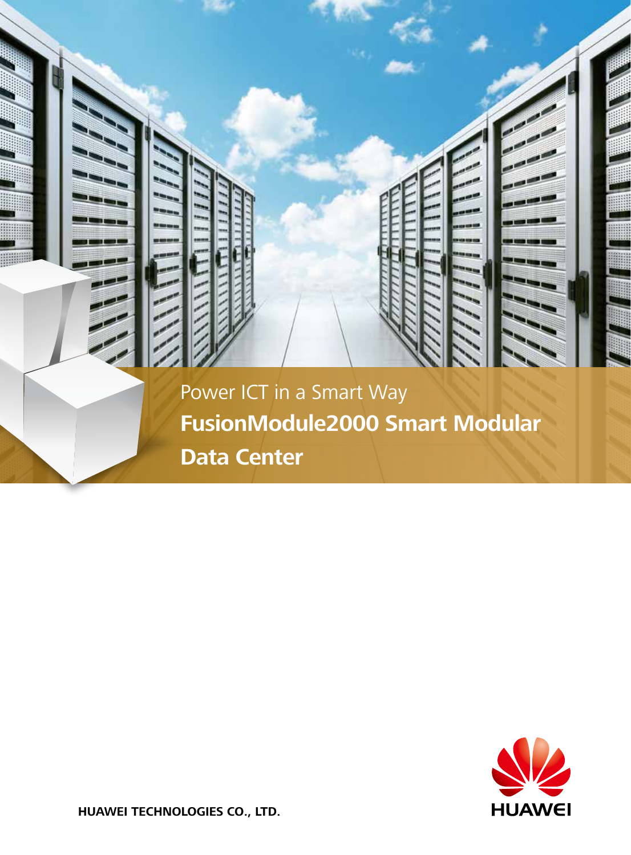



**HUAWEI TECHNOLOGIES CO., LTD.**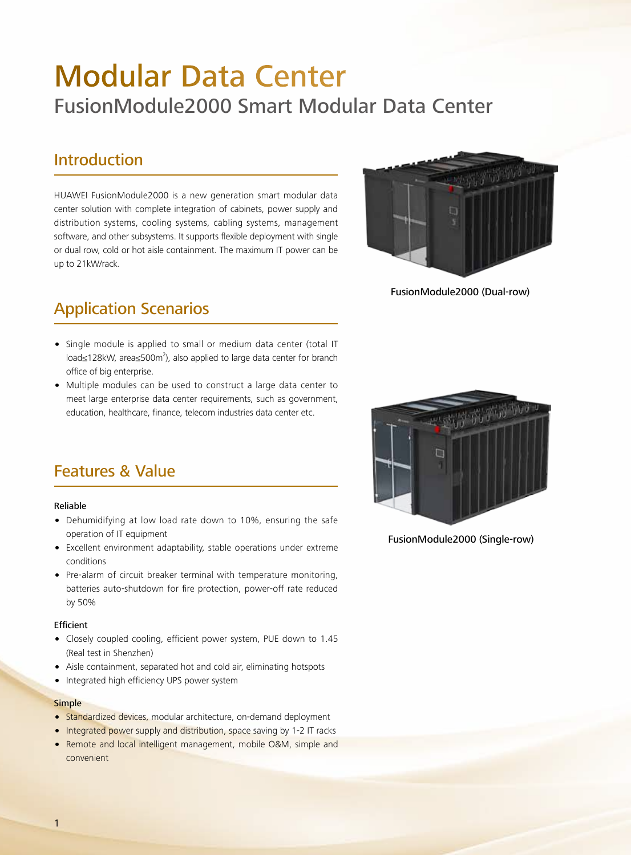# Modular Data Center FusionModule2000 Smart Modular Data Center

### Introduction

HUAWEI FusionModule2000 is a new generation smart modular data center solution with complete integration of cabinets, power supply and distribution systems, cooling systems, cabling systems, management software, and other subsystems. It supports flexible deployment with single or dual row, cold or hot aisle containment. The maximum IT power can be up to 21kW/rack.



FusionModule2000 (Dual-row)

## Application Scenarios

- Single module is applied to small or medium data center (total IT load≤128kW, area≤500m<sup>2</sup>), also applied to large data center for branch office of big enterprise.
- Multiple modules can be used to construct a large data center to meet large enterprise data center requirements, such as government, education, healthcare, finance, telecom industries data center etc.



FusionModule2000 (Single-row)

## Features & Value

#### Reliable

- Dehumidifying at low load rate down to 10%, ensuring the safe operation of IT equipment
- Excellent environment adaptability, stable operations under extreme conditions
- Pre-alarm of circuit breaker terminal with temperature monitoring, batteries auto-shutdown for fire protection, power-off rate reduced by 50%

#### Efficient

- Closely coupled cooling, efficient power system, PUE down to 1.45 (Real test in Shenzhen)
- Aisle containment, separated hot and cold air, eliminating hotspots
- Integrated high efficiency UPS power system

#### **Simple**

- Standardized devices, modular architecture, on-demand deployment
- Integrated power supply and distribution, space saving by 1-2 IT racks
- Remote and local intelligent management, mobile O&M, simple and convenient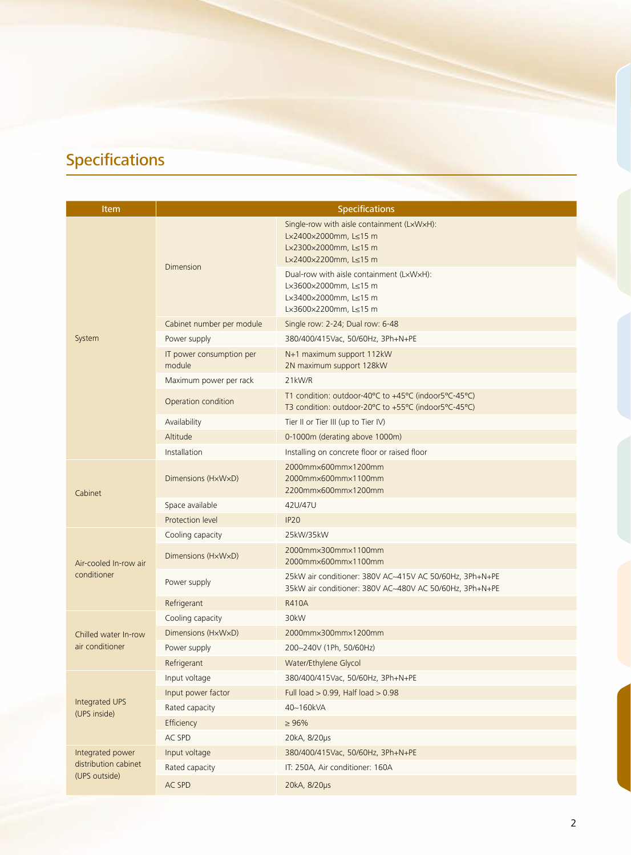# Specifications

| <b>Item</b>                                               | <b>Specifications</b>              |                                                                                                                       |  |  |  |
|-----------------------------------------------------------|------------------------------------|-----------------------------------------------------------------------------------------------------------------------|--|--|--|
|                                                           | <b>Dimension</b>                   | Single-row with aisle containment (LxWxH):<br>L×2400×2000mm, L≤15 m<br>L×2300×2000mm, L≤15 m<br>L×2400×2200mm, L≤15 m |  |  |  |
|                                                           |                                    | Dual-row with aisle containment (LxWxH):<br>L×3600×2000mm, L≤15 m<br>L×3400×2000mm, L≤15 m<br>L×3600×2200mm, L≤15 m   |  |  |  |
|                                                           | Cabinet number per module          | Single row: 2-24; Dual row: 6-48                                                                                      |  |  |  |
| System                                                    | Power supply                       | 380/400/415Vac, 50/60Hz, 3Ph+N+PE                                                                                     |  |  |  |
|                                                           | IT power consumption per<br>module | N+1 maximum support 112kW<br>2N maximum support 128kW                                                                 |  |  |  |
|                                                           | Maximum power per rack             | 21kW/R                                                                                                                |  |  |  |
|                                                           | Operation condition                | T1 condition: outdoor-40°C to +45°C (indoor5°C-45°C)<br>T3 condition: outdoor-20°C to +55°C (indoor5°C-45°C)          |  |  |  |
|                                                           | Availability                       | Tier II or Tier III (up to Tier IV)                                                                                   |  |  |  |
|                                                           | Altitude                           | 0-1000m (derating above 1000m)                                                                                        |  |  |  |
|                                                           | Installation                       | Installing on concrete floor or raised floor                                                                          |  |  |  |
| Cabinet                                                   | Dimensions (HxWxD)                 | 2000mm×600mm×1200mm<br>2000mm×600mm×1100mm<br>2200mm×600mm×1200mm                                                     |  |  |  |
|                                                           | Space available                    | 42U/47U                                                                                                               |  |  |  |
|                                                           | Protection level                   | <b>IP20</b>                                                                                                           |  |  |  |
|                                                           | Cooling capacity                   | 25kW/35kW                                                                                                             |  |  |  |
| Air-cooled In-row air                                     | Dimensions (HxWxD)                 | 2000mm×300mm×1100mm<br>2000mm×600mm×1100mm                                                                            |  |  |  |
| conditioner                                               | Power supply                       | 25kW air conditioner: 380V AC~415V AC 50/60Hz, 3Ph+N+PE<br>35kW air conditioner: 380V AC~480V AC 50/60Hz, 3Ph+N+PE    |  |  |  |
|                                                           | Refrigerant                        | <b>R410A</b>                                                                                                          |  |  |  |
|                                                           | Cooling capacity                   | 30kW                                                                                                                  |  |  |  |
| Chilled water In-row                                      | Dimensions (HxWxD)                 | 2000mm×300mm×1200mm                                                                                                   |  |  |  |
| air conditioner                                           | Power supply                       | 200~240V (1Ph, 50/60Hz)                                                                                               |  |  |  |
|                                                           | Refrigerant                        | Water/Ethylene Glycol                                                                                                 |  |  |  |
| Integrated UPS<br>(UPS inside)                            | Input voltage                      | 380/400/415Vac, 50/60Hz, 3Ph+N+PE                                                                                     |  |  |  |
|                                                           | Input power factor                 | Full load $> 0.99$ , Half load $> 0.98$                                                                               |  |  |  |
|                                                           | Rated capacity                     | 40~160kVA                                                                                                             |  |  |  |
|                                                           | Efficiency                         | $\geq 96\%$                                                                                                           |  |  |  |
|                                                           | AC SPD                             | 20kA, 8/20µs                                                                                                          |  |  |  |
| Integrated power<br>distribution cabinet<br>(UPS outside) | Input voltage                      | 380/400/415Vac, 50/60Hz, 3Ph+N+PE                                                                                     |  |  |  |
|                                                           | Rated capacity                     | IT: 250A, Air conditioner: 160A                                                                                       |  |  |  |
|                                                           | AC SPD                             | 20kA, 8/20µs                                                                                                          |  |  |  |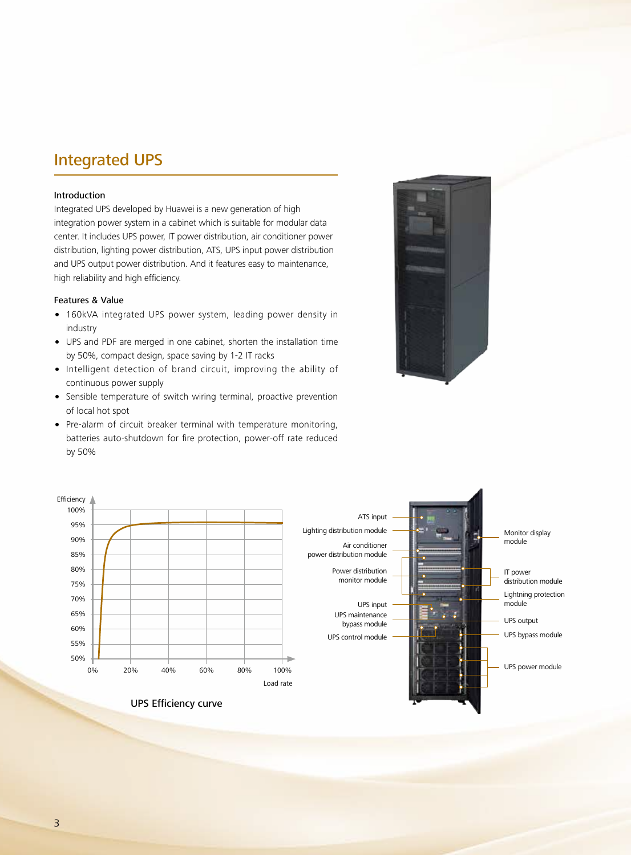### Integrated UPS

#### Introduction

Integrated UPS developed by Huawei is a new generation of high integration power system in a cabinet which is suitable for modular data center. It includes UPS power, IT power distribution, air conditioner power distribution, lighting power distribution, ATS, UPS input power distribution and UPS output power distribution. And it features easy to maintenance, high reliability and high efficiency.

#### Features & Value

- 160kVA integrated UPS power system, leading power density in industry
- UPS and PDF are merged in one cabinet, shorten the installation time by 50%, compact design, space saving by 1-2 IT racks
- Intelligent detection of brand circuit, improving the ability of continuous power supply
- Sensible temperature of switch wiring terminal, proactive prevention of local hot spot
- Pre-alarm of circuit breaker terminal with temperature monitoring, batteries auto-shutdown for fire protection, power-off rate reduced by 50%



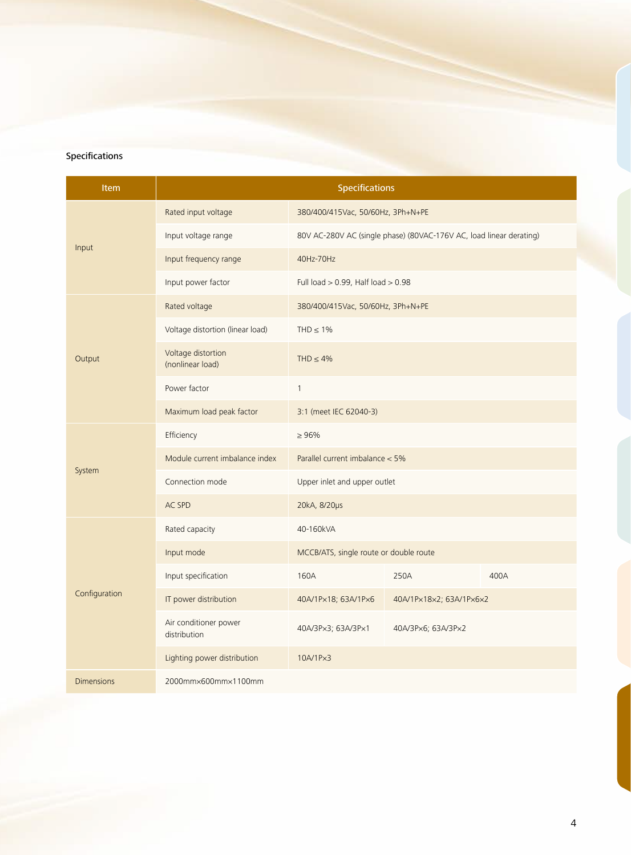#### **Specifications**

| Item              | <b>Specifications</b>                  |                                                                     |                         |      |  |
|-------------------|----------------------------------------|---------------------------------------------------------------------|-------------------------|------|--|
| Input             | Rated input voltage                    | 380/400/415Vac, 50/60Hz, 3Ph+N+PE                                   |                         |      |  |
|                   | Input voltage range                    | 80V AC-280V AC (single phase) (80VAC-176V AC, load linear derating) |                         |      |  |
|                   | Input frequency range                  | 40Hz-70Hz                                                           |                         |      |  |
|                   | Input power factor                     | Full load $> 0.99$ , Half load $> 0.98$                             |                         |      |  |
| Output            | Rated voltage                          | 380/400/415Vac, 50/60Hz, 3Ph+N+PE                                   |                         |      |  |
|                   | Voltage distortion (linear load)       | THD $\leq 1\%$                                                      |                         |      |  |
|                   | Voltage distortion<br>(nonlinear load) | THD $\leq 4\%$                                                      |                         |      |  |
|                   | Power factor                           | $\mathbf{1}$                                                        |                         |      |  |
|                   | Maximum load peak factor               | 3:1 (meet IEC 62040-3)                                              |                         |      |  |
|                   | Efficiency                             | $\geq 96\%$                                                         |                         |      |  |
| System            | Module current imbalance index         | Parallel current imbalance < 5%                                     |                         |      |  |
|                   | Connection mode                        | Upper inlet and upper outlet                                        |                         |      |  |
|                   | AC SPD                                 | 20kA, 8/20µs                                                        |                         |      |  |
|                   | Rated capacity                         | 40-160kVA                                                           |                         |      |  |
|                   | Input mode                             | MCCB/ATS, single route or double route                              |                         |      |  |
| Configuration     | Input specification                    | 160A                                                                | 250A                    | 400A |  |
|                   | IT power distribution                  | 40A/1P×18; 63A/1P×6                                                 | 40A/1Px18x2; 63A/1Px6x2 |      |  |
|                   | Air conditioner power<br>distribution  | 40A/3Px3; 63A/3Px1                                                  | 40A/3Px6; 63A/3Px2      |      |  |
|                   | Lighting power distribution            | 10A/1Px3                                                            |                         |      |  |
| <b>Dimensions</b> | 2000mm×600mm×1100mm                    |                                                                     |                         |      |  |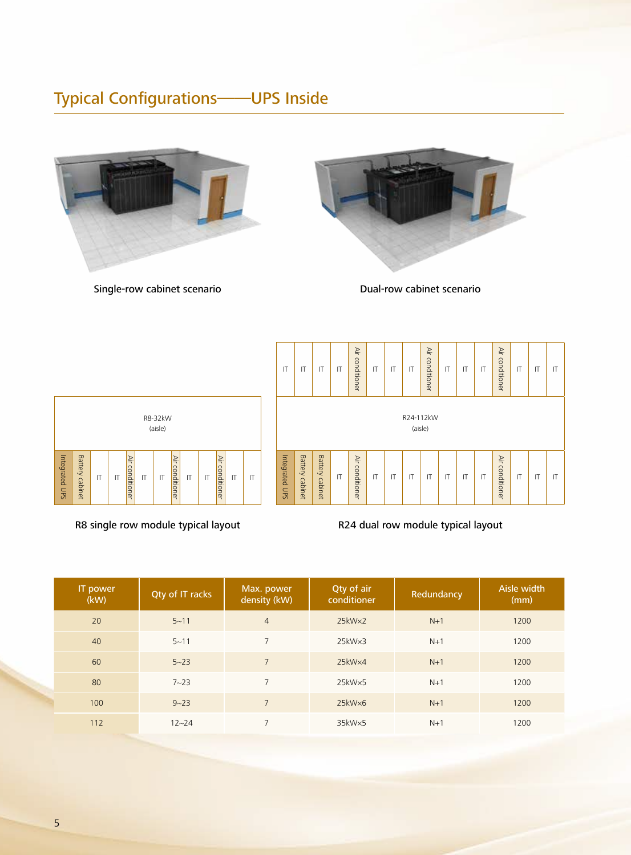## Typical Configurations——UPS Inside



Single-row cabinet scenario and Dual-row cabinet scenario





R8 single row module typical layout



R24 dual row module typical layout

| IT power<br>(kW) | Qty of IT racks | Max. power<br>density (kW) | Qty of air<br>conditioner | Redundancy | Aisle width<br>(mm) |
|------------------|-----------------|----------------------------|---------------------------|------------|---------------------|
| 20               | $5 - 11$        | $\overline{4}$             | 25kW <sub>x2</sub>        | $N+1$      | 1200                |
| 40               | $5 - 11$        | $\overline{7}$             | $25kW \times 3$           | $N+1$      | 1200                |
| 60               | $5 - 23$        | $\overline{7}$             | $25kW \times 4$           | $N+1$      | 1200                |
| 80               | $7 - 23$        | $7\overline{ }$            | 25kW <sub>x5</sub>        | $N+1$      | 1200                |
| 100              | $9 - 23$        | $\overline{7}$             | $25kW\times6$             | $N+1$      | 1200                |
| 112              | $12 - 24$       | $\overline{7}$             | 35kW×5                    | $N+1$      | 1200                |